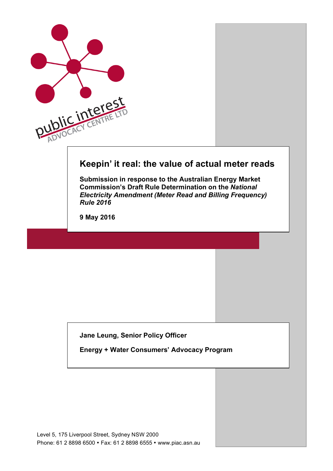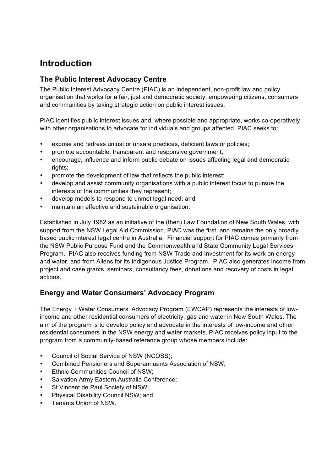# **Introduction**

## **The Public Interest Advocacy Centre**

The Public Interest Advocacy Centre (PIAC) is an independent, non-profit law and policy organisation that works for a fair, just and democratic society, empowering citizens, consumers and communities by taking strategic action on public interest issues.

PIAC identifies public interest issues and, where possible and appropriate, works co-operatively with other organisations to advocate for individuals and groups affected. PIAC seeks to:

- expose and redress unjust or unsafe practices, deficient laws or policies;
- promote accountable, transparent and responsive government;
- encourage, influence and inform public debate on issues affecting legal and democratic rights;
- promote the development of law that reflects the public interest;
- develop and assist community organisations with a public interest focus to pursue the interests of the communities they represent;
- develop models to respond to unmet legal need; and
- maintain an effective and sustainable organisation.

Established in July 1982 as an initiative of the (then) Law Foundation of New South Wales, with support from the NSW Legal Aid Commission, PIAC was the first, and remains the only broadly based public interest legal centre in Australia. Financial support for PIAC comes primarily from the NSW Public Purpose Fund and the Commonwealth and State Community Legal Services Program. PIAC also receives funding from NSW Trade and Investment for its work on energy and water, and from Allens for its Indigenous Justice Program. PIAC also generates income from project and case grants, seminars, consultancy fees, donations and recovery of costs in legal actions.

# **Energy and Water Consumers' Advocacy Program**

The Energy + Water Consumers' Advocacy Program (EWCAP) represents the interests of lowincome and other residential consumers of electricity, gas and water in New South Wales. The aim of the program is to develop policy and advocate in the interests of low-income and other residential consumers in the NSW energy and water markets. PIAC receives policy input to the program from a community-based reference group whose members include:

- Council of Social Service of NSW (NCOSS);
- Combined Pensioners and Superannuants Association of NSW;
- Ethnic Communities Council of NSW:
- Salvation Army Eastern Australia Conference;
- St Vincent de Paul Society of NSW;
- Physical Disability Council NSW; and
- Tenants Union of NSW.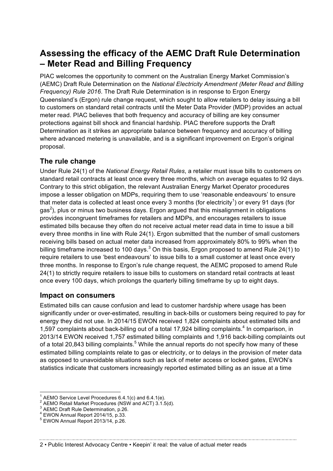# **Assessing the efficacy of the AEMC Draft Rule Determination – Meter Read and Billing Frequency**

PIAC welcomes the opportunity to comment on the Australian Energy Market Commission's (AEMC) Draft Rule Determination on the *National Electricity Amendment (Meter Read and Billing Frequency) Rule 2016*. The Draft Rule Determination is in response to Ergon Energy Queensland's (Ergon) rule change request, which sought to allow retailers to delay issuing a bill to customers on standard retail contracts until the Meter Data Provider (MDP) provides an actual meter read. PIAC believes that both frequency and accuracy of billing are key consumer protections against bill shock and financial hardship. PIAC therefore supports the Draft Determination as it strikes an appropriate balance between frequency and accuracy of billing where advanced metering is unavailable, and is a significant improvement on Ergon's original proposal.

# **The rule change**

Under Rule 24(1) of the *National Energy Retail Rules*, a retailer must issue bills to customers on standard retail contracts at least once every three months, which on average equates to 92 days. Contrary to this strict obligation, the relevant Australian Energy Market Operator procedures impose a lesser obligation on MDPs, requiring them to use 'reasonable endeavours' to ensure that meter data is collected at least once every 3 months (for electricity<sup>1</sup>) or every 91 days (for gas<sup>2</sup>), plus or minus two business days. Ergon argued that this misalignment in obligations provides incongruent timeframes for retailers and MDPs, and encourages retailers to issue estimated bills because they often do not receive actual meter read data in time to issue a bill every three months in line with Rule 24(1). Ergon submitted that the number of small customers receiving bills based on actual meter data increased from approximately 80% to 99% when the billing timeframe increased to 100 days.<sup>3</sup> On this basis, Ergon proposed to amend Rule 24(1) to require retailers to use 'best endeavours' to issue bills to a small customer at least once every three months. In response to Ergon's rule change request, the AEMC proposed to amend Rule 24(1) to strictly require retailers to issue bills to customers on standard retail contracts at least once every 100 days, which prolongs the quarterly billing timeframe by up to eight days.

# **Impact on consumers**

Estimated bills can cause confusion and lead to customer hardship where usage has been significantly under or over-estimated, resulting in back-bills or customers being required to pay for energy they did not use. In 2014/15 EWON received 1,824 complaints about estimated bills and 1,597 complaints about back-billing out of a total 17,924 billing complaints.<sup>4</sup> In comparison, in 2013/14 EWON received 1,757 estimated billing complaints and 1,916 back-billing complaints out of a total 20,843 billing complaints.<sup>5</sup> While the annual reports do not specify how many of these estimated billing complaints relate to gas or electricity, or to delays in the provision of meter data as opposed to unavoidable situations such as lack of meter access or locked gates, EWON's statistics indicate that customers increasingly reported estimated billing as an issue at a time

<sup>&</sup>lt;sup>1</sup> AEMO Service Level Procedures 6.4.1(c) and 6.4.1(e). <sup>2</sup> AEMO Retail Market Procedures (NSW and ACT) 3.1.5(d).  $^3$  AEMC Draft Rule Determination, p.26.  $^4$  EWON Annual Report 2013/14, p.26.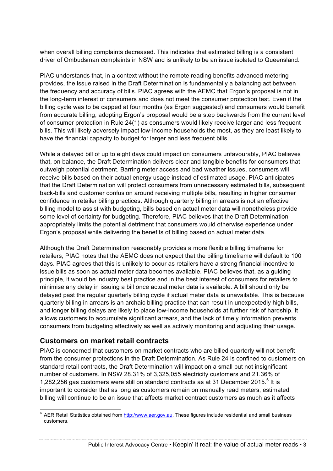when overall billing complaints decreased. This indicates that estimated billing is a consistent driver of Ombudsman complaints in NSW and is unlikely to be an issue isolated to Queensland.

PIAC understands that, in a context without the remote reading benefits advanced metering provides, the issue raised in the Draft Determination is fundamentally a balancing act between the frequency and accuracy of bills. PIAC agrees with the AEMC that Ergon's proposal is not in the long-term interest of consumers and does not meet the consumer protection test. Even if the billing cycle was to be capped at four months (as Ergon suggested) and consumers would benefit from accurate billing, adopting Ergon's proposal would be a step backwards from the current level of consumer protection in Rule 24(1) as consumers would likely receive larger and less frequent bills. This will likely adversely impact low-income households the most, as they are least likely to have the financial capacity to budget for larger and less frequent bills.

While a delayed bill of up to eight days could impact on consumers unfavourably, PIAC believes that, on balance, the Draft Determination delivers clear and tangible benefits for consumers that outweigh potential detriment. Barring meter access and bad weather issues, consumers will receive bills based on their actual energy usage instead of estimated usage. PIAC anticipates that the Draft Determination will protect consumers from unnecessary estimated bills, subsequent back-bills and customer confusion around receiving multiple bills, resulting in higher consumer confidence in retailer billing practices. Although quarterly billing in arrears is not an effective billing model to assist with budgeting, bills based on actual meter data will nonetheless provide some level of certainty for budgeting. Therefore, PIAC believes that the Draft Determination appropriately limits the potential detriment that consumers would otherwise experience under Ergon's proposal while delivering the benefits of billing based on actual meter data.

Although the Draft Determination reasonably provides a more flexible billing timeframe for retailers, PIAC notes that the AEMC does not expect that the billing timeframe will default to 100 days. PIAC agrees that this is unlikely to occur as retailers have a strong financial incentive to issue bills as soon as actual meter data becomes available. PIAC believes that, as a guiding principle, it would be industry best practice and in the best interest of consumers for retailers to minimise any delay in issuing a bill once actual meter data is available. A bill should only be delayed past the regular quarterly billing cycle if actual meter data is unavailable. This is because quarterly billing in arrears is an archaic billing practice that can result in unexpectedly high bills, and longer billing delays are likely to place low-income households at further risk of hardship. It allows customers to accumulate significant arrears, and the lack of timely information prevents consumers from budgeting effectively as well as actively monitoring and adjusting their usage.

### **Customers on market retail contracts**

PIAC is concerned that customers on market contracts who are billed quarterly will not benefit from the consumer protections in the Draft Determination. As Rule 24 is confined to customers on standard retail contracts, the Draft Determination will impact on a small but not insignificant number of customers. In NSW 28.31% of 3,325,055 electricity customers and 21.36% of 1,282,256 gas customers were still on standard contracts as at 31 December 2015.<sup>6</sup> It is important to consider that as long as customers remain on manually read meters, estimated billing will continue to be an issue that affects market contract customers as much as it affects

Public Interest Advocacy Centre • Keepin' it real: the value of actual meter reads • 3

 $6$  AER Retail Statistics obtained from http://www.aer.gov.au. These figures include residential and small business customers.